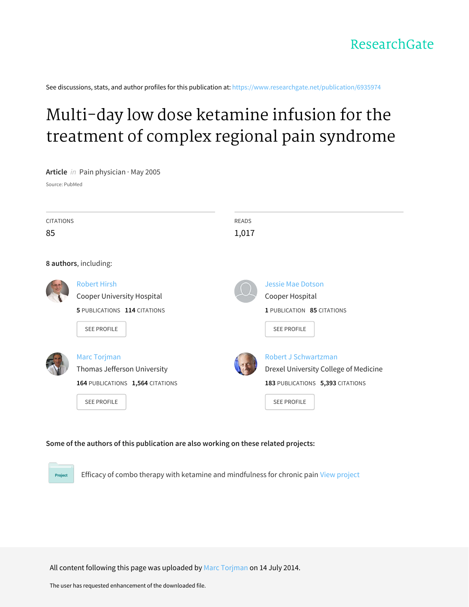See discussions, stats, and author profiles for this publication at: [https://www.researchgate.net/publication/6935974](https://www.researchgate.net/publication/6935974_Multi-day_low_dose_ketamine_infusion_for_the_treatment_of_complex_regional_pain_syndrome?enrichId=rgreq-eb856a052ae653229662df39b5a5f942-XXX&enrichSource=Y292ZXJQYWdlOzY5MzU5NzQ7QVM6MTE4ODIxNDA2OTA4NDE2QDE0MDUzNDA2MzkwNjc%3D&el=1_x_2&_esc=publicationCoverPdf)

# Multi-day low dose ketamine infusion for the [treatment](https://www.researchgate.net/publication/6935974_Multi-day_low_dose_ketamine_infusion_for_the_treatment_of_complex_regional_pain_syndrome?enrichId=rgreq-eb856a052ae653229662df39b5a5f942-XXX&enrichSource=Y292ZXJQYWdlOzY5MzU5NzQ7QVM6MTE4ODIxNDA2OTA4NDE2QDE0MDUzNDA2MzkwNjc%3D&el=1_x_3&_esc=publicationCoverPdf) of complex regional pain syndrome

**Article** in Pain physician · May 2005

Source: PubMed

Project

| <b>CITATIONS</b>      |                                  | <b>READS</b> |                                       |  |  |  |  |  |  |
|-----------------------|----------------------------------|--------------|---------------------------------------|--|--|--|--|--|--|
| 85                    |                                  | 1,017        |                                       |  |  |  |  |  |  |
|                       |                                  |              |                                       |  |  |  |  |  |  |
| 8 authors, including: |                                  |              |                                       |  |  |  |  |  |  |
|                       | <b>Robert Hirsh</b>              |              | Jessie Mae Dotson                     |  |  |  |  |  |  |
|                       | Cooper University Hospital       |              | Cooper Hospital                       |  |  |  |  |  |  |
|                       | 5 PUBLICATIONS 114 CITATIONS     |              | 1 PUBLICATION 85 CITATIONS            |  |  |  |  |  |  |
|                       | <b>SEE PROFILE</b>               |              | <b>SEE PROFILE</b>                    |  |  |  |  |  |  |
|                       |                                  |              |                                       |  |  |  |  |  |  |
|                       | <b>Marc Torjman</b>              |              | Robert J Schwartzman                  |  |  |  |  |  |  |
|                       | Thomas Jefferson University      |              | Drexel University College of Medicine |  |  |  |  |  |  |
|                       | 164 PUBLICATIONS 1,564 CITATIONS |              | 183 PUBLICATIONS 5,393 CITATIONS      |  |  |  |  |  |  |
|                       | <b>SEE PROFILE</b>               |              | <b>SEE PROFILE</b>                    |  |  |  |  |  |  |
|                       |                                  |              |                                       |  |  |  |  |  |  |

# **Some of the authors of this publication are also working on these related projects:**

Efficacy of combo therapy with ketamine and mindfulness for chronic pain View [project](https://www.researchgate.net/project/Efficacy-of-combo-therapy-with-ketamine-and-mindfulness-for-chronic-pain?enrichId=rgreq-eb856a052ae653229662df39b5a5f942-XXX&enrichSource=Y292ZXJQYWdlOzY5MzU5NzQ7QVM6MTE4ODIxNDA2OTA4NDE2QDE0MDUzNDA2MzkwNjc%3D&el=1_x_9&_esc=publicationCoverPdf)

All content following this page was uploaded by Marc [Torjman](https://www.researchgate.net/profile/Marc_Torjman2?enrichId=rgreq-eb856a052ae653229662df39b5a5f942-XXX&enrichSource=Y292ZXJQYWdlOzY5MzU5NzQ7QVM6MTE4ODIxNDA2OTA4NDE2QDE0MDUzNDA2MzkwNjc%3D&el=1_x_10&_esc=publicationCoverPdf) on 14 July 2014.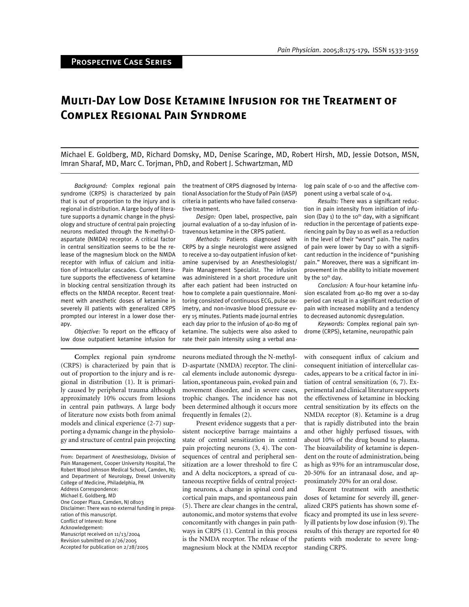# **Multi-Day Low Dose Ketamine Infusion for the Treatment of Complex Regional Pain Syndrome**

Michael E. Goldberg, MD, Richard Domsky, MD, Denise Scaringe, MD, Robert Hirsh, MD, Jessie Dotson, MSN, Imran Sharaf, MD, Marc C. Torjman, PhD, and Robert J. Schwartzman, MD

*Background:* Complex regional pain syndrome (CRPS) is characterized by pain that is out of proportion to the injury and is regional in distribution. A large body of literature supports a dynamic change in the physiology and structure of central pain projecting neurons mediated through the N-methyl-Daspartate (NMDA) receptor. A critical factor in central sensitization seems to be the release of the magnesium block on the NMDA receptor with influx of calcium and initiation of intracellular cascades. Current literature supports the effectiveness of ketamine in blocking central sensitization through its effects on the NMDA receptor. Recent treatment with anesthetic doses of ketamine in severely ill patients with generalized CRPS prompted our interest in a lower dose therapy.

Objective: To report on the efficacy of low dose outpatient ketamine infusion for

**C**omplex regional pain syndrome (CRPS) is characterized by pain that is out of proportion to the injury and is regional in distribution (1). It is primarily caused by peripheral trauma although approximately 10% occurs from lesions in central pain pathways. A large body of literature now exists both from animal models and clinical experience (2-7) supporting a dynamic change in the physiology and structure of central pain projecting

From: Department of Anesthesiology, Division of Pain Management, Cooper University Hospital, The Robert Wood Johnson Medical School, Camden, NJ; and Department of Neurology, Drexel University College of Medicine, Philadelphia, PA Address Correspondence: Michael E. Goldberg, MD One Cooper Plaza, Camden, NJ 08103 Disclaimer: There was no external funding in preparation of this manuscript. Conflict of Interest: None Acknowledgement: Manuscript received on 11/13/2004 Revision submitted on 2/26/2005 Accepted for publication on 2/28/2005

the treatment of CRPS diagnosed by International Association for the Study of Pain (IASP) criteria in patients who have failed conservative treatment.

*Design:* Open label, prospective, pain journal evaluation of a 10-day infusion of intravenous ketamine in the CRPS patient.

*Methods:* Patients diagnosed with CRPS by a single neurologist were assigned to receive a 10-day outpatient infusion of ketamine supervised by an Anesthesiologist/ Pain Management Specialist. The infusion was administered in a short procedure unit after each patient had been instructed on how to complete a pain questionnaire. Monitoring consisted of continuous ECG, pulse oximetry, and non-invasive blood pressure every 15 minutes. Patients made journal entries each day prior to the infusion of 40-80 mg of ketamine. The subjects were also asked to rate their pain intensity using a verbal ana-

log pain scale of 0-10 and the affective component using a verbal scale of 0-4.

*Results:* There was a significant reduction in pain intensity from initiation of infusion (Day 1) to the 10<sup>th</sup> day, with a significant reduction in the percentage of patients experiencing pain by Day 10 as well as a reduction in the level of their "worst" pain. The nadirs of pain were lower by Day 10 with a significant reduction in the incidence of "punishing pain." Moreover, there was a significant improvement in the ability to initiate movement by the 10<sup>th</sup> day.

*Conclusion:* A four-hour ketamine infusion escalated from 40-80 mg over a 10-day period can result in a significant reduction of pain with increased mobility and a tendency to decreased autonomic dysregulation.

*Keywords:* Complex regional pain syndrome (CRPS), ketamine, neuropathic pain

neurons mediated through the N-methyl-D-aspartate (NMDA) receptor. The clinical elements include autonomic dysregulation, spontaneous pain, evoked pain and movement disorder, and in severe cases, trophic changes. The incidence has not been determined although it occurs more frequently in females (2).

Present evidence suggests that a persistent nociceptive barrage maintains a state of central sensitization in central pain projecting neurons (3, 4). The consequences of central and peripheral sensitization are a lower threshold to fire C and A delta nociceptors, a spread of cutaneous receptive fields of central projecting neurons, a change in spinal cord and cortical pain maps, and spontaneous pain (5). There are clear changes in the central, autonomic, and motor systems that evolve concomitantly with changes in pain pathways in CRPS (1). Central in this process is the NMDA receptor. The release of the magnesium block at the NMDA receptor

with consequent influx of calcium and consequent initiation of intercellular cascades, appears to be a critical factor in initiation of central sensitization (6, 7). Experimental and clinical literature supports the effectiveness of ketamine in blocking central sensitization by its effects on the NMDA receptor (8). Ketamine is a drug that is rapidly distributed into the brain and other highly perfused tissues, with about 10% of the drug bound to plasma. The bioavailability of ketamine is dependent on the route of administration, being as high as 93% for an intramuscular dose, 20-50% for an intranasal dose, and approximately 20% for an oral dose.

Recent treatment with anesthetic doses of ketamine for severely ill, generalized CRPS patients has shown some efficacy and prompted its use in less severely ill patients by low dose infusion (9). The results of this therapy are reported for 40 patients with moderate to severe longstanding CRPS.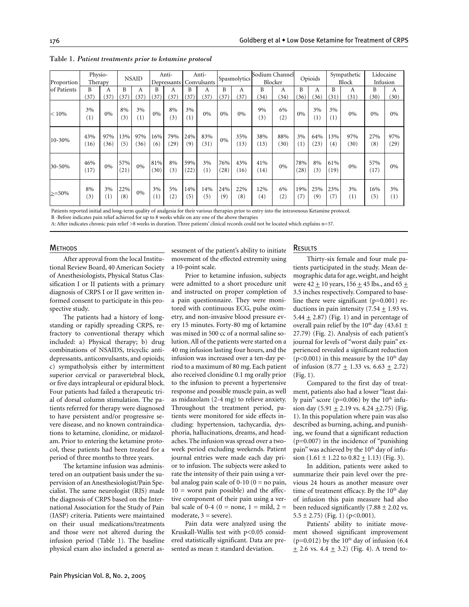| Proportion  | Physio-<br>Therapy |                        | <b>NSAID</b> |             | Anti-<br>Depressants |             | Anti-<br>Convulsants |             | Spasmolytics |             | Sodium Channel<br>Blocker |             | Opioids     |                           | Sympathetic<br>Block |             | Lidocaine<br>Infusion |             |
|-------------|--------------------|------------------------|--------------|-------------|----------------------|-------------|----------------------|-------------|--------------|-------------|---------------------------|-------------|-------------|---------------------------|----------------------|-------------|-----------------------|-------------|
| of Patients | B                  | А                      | B            | А           | B                    | А           | B                    | А           | B            | A           | B                         | A           | B           | А                         | B                    | А           | B                     | А           |
|             | 37                 | 37                     | 37           | 37          | (37)                 | 37          | (37)                 | 37          | (37)         | (37)        | (34)                      | (34)        | (36)        | 36                        | (31)                 | (31)        | (30)                  | (30)        |
| $< 10\%$    | 3%<br>(1)          | $0\%$                  | 8%<br>(3)    | 3%<br>(1)   | $0\%$                | 8%<br>(3)   | $3\%$<br>(1)         | 0%          | 0%           | 0%          | 9%<br>(3)                 | 6%<br>(2)   | $0\%$       | $3\%$<br>$\left(1\right)$ | 3%<br>(1)            | 0%          | 0%                    | 0%          |
| 10-30%      | 43%<br>(16)        | 97%<br>(36)            | 13%<br>(5)   | 97%<br>(36) | 16%<br>(6)           | 79%<br>(29) | 24%<br>(9)           | 83%<br>(31) | $0\%$        | 35%<br>(13) | 38%<br>(13)               | 88%<br>(30) | 3%<br>(1)   | 64%<br>(23)               | 13%<br>(4)           | 97%<br>(30) | 27%<br>(8)            | 97%<br>(29) |
| 30-50%      | 46%<br>(17)        | $0\%$                  | 57%<br>(21)  | $0\%$       | 81%<br>(30)          | 8%<br>(3)   | 59%<br>(22)          | 3%<br>(1)   | 76%<br>(28)  | 43%<br>(16) | 41%<br>(14)               | $0\%$       | 78%<br>(28) | 8%<br>(3)                 | 61%<br>(19)          | 0%          | 57%<br>(17)           | 0%          |
| $\geq 50\%$ | 8%<br>(3)          | 3%<br>$\left(1\right)$ | 22%<br>(8)   | 0%          | 3%<br>(1)            | 5%<br>(2)   | 14%<br>(5)           | 14%<br>(5)  | 24%<br>(9)   | 22%<br>(8)  | 12%<br>(4)                | 6%<br>(2)   | 19%<br>(7)  | 25%<br>(9)                | 23%<br>(7)           | 3%<br>(1)   | 16%<br>(5)            | 3%<br>(1)   |

#### Table 1. *Patient treatments prior to ketamine protocol*

Patients reported initial and long-term quality of analgesia for their various therapies prior to entry into the intravenous Ketamine protocol.

B -Before indicates pain relief achieved for up to 8 weeks while on any one of the above therapies

A: After indicates chronic pain relief >8 weeks in duration. Three patients' clinical records could not be located which explains n=37.

#### **METHODS**

After approval from the local Institutional Review Board, 40 American Society of Anesthesiologists, Physical Status Classification I or II patients with a primary diagnosis of CRPS I or II gave written informed consent to participate in this prospective study.

The patients had a history of longstanding or rapidly spreading CRPS, refractory to conventional therapy which included: a) Physical therapy; b) drug combinations of NSAIDS, tricyclic antidepressants, anticonvulsants, and opioids; c) sympatholysis either by intermittent superior cervical or paravertebral block, or five days intrapleural or epidural block. Four patients had failed a therapeutic trial of dorsal column stimulation. The patients referred for therapy were diagnosed to have persistent and/or progressive severe disease, and no known contraindications to ketamine, clonidine, or midazolam. Prior to entering the ketamine protocol, these patients had been treated for a period of three months to three years.

The ketamine infusion was administered on an outpatient basis under the supervision of an Anesthesiologist/Pain Specialist. The same neurologist (RJS) made the diagnosis of CRPS based on the International Association for the Study of Pain (IASP) criteria. Patients were maintained on their usual medications/treatments and those were not altered during the infusion period (Table 1). The baseline physical exam also included a general assessment of the patient's ability to initiate movement of the effected extremity using a 10-point scale.

Prior to ketamine infusion, subjects were admitted to a short procedure unit and instructed on proper completion of a pain questionnaire. They were monitored with continuous ECG, pulse oximetry, and non-invasive blood pressure every 15 minutes. Forty-80 mg of ketamine was mixed in 500 cc of a normal saline solution. All of the patients were started on a 40 mg infusion lasting four hours, and the infusion was increased over a ten-day period to a maximum of 80 mg. Each patient also received clonidine 0.1 mg orally prior to the infusion to prevent a hypertensive response and possible muscle pain, as well as midazolam (2-4 mg) to relieve anxiety. Throughout the treatment period, patients were monitored for side effects including: hypertension, tachycardia, dysphoria, hallucinations, dreams, and headaches. The infusion was spread over a twoweek period excluding weekends. Patient journal entries were made each day prior to infusion. The subjects were asked to rate the intensity of their pain using a verbal analog pain scale of  $0-10$   $(0 =$  no pain,  $10 =$  worst pain possible) and the affective component of their pain using a verbal scale of 0-4 (0 = none, 1 = mild, 2 = moderate,  $3 =$  severe).

Pain data were analyzed using the Kruskall-Wallis test with p<0.05 considered statistically significant. Data are presented as mean ± standard deviation.

#### RESULTS

Thirty-six female and four male patients participated in the study. Mean demographic data for age, weight, and height were  $42 \pm 10$  years,  $156 \pm 45$  lbs., and  $65 \pm$ 3.5 inches respectively. Compared to baseline there were significant  $(p=0.001)$  reductions in pain intensity  $(7.54 + 1.93 \text{ vs.})$ 5.44  $\pm$  2.87) (Fig. 1) and in percentage of overall pain relief by the 10<sup>th</sup> day (43.61  $\pm$ 27.79) (Fig. 2). Analysis of each patient's journal for levels of "worst daily pain" experienced revealed a significant reduction ( $p$ <0.001) in this measure by the 10<sup>th</sup> day of infusion (8.77  $\pm$  1.33 vs. 6.63  $\pm$  2.72) (Fig. 1).

Compared to the first day of treatment, patients also had a lower "least daily pain" score ( $p=0.006$ ) by the 10<sup>th</sup> infusion day  $(5.91 \pm 2.19 \text{ vs. } 4.24 \pm 2.75)$  (Fig. 1). In this population where pain was also described as burning, aching, and punishing, we found that a significant reduction (p=0.007) in the incidence of "punishing pain" was achieved by the 10<sup>th</sup> day of infusion  $(1.61 \pm 1.22 \text{ to } 0.82 \pm 1.13)$  (Fig. 3).

In addition, patients were asked to summarize their pain level over the previous 24 hours as another measure over time of treatment efficacy. By the  $10<sup>th</sup>$  day of infusion this pain measure had also been reduced significantly (7.88  $\pm$  2.02 vs.  $5.5 \pm 2.75$ ) (Fig. 1) (p<0.001).

Patients' ability to initiate movement showed significant improvement (p=0.012) by the  $10^{th}$  day of infusion (6.4)  $\pm$  2.6 vs. 4.4  $\pm$  3.2) (Fig. 4). A trend to-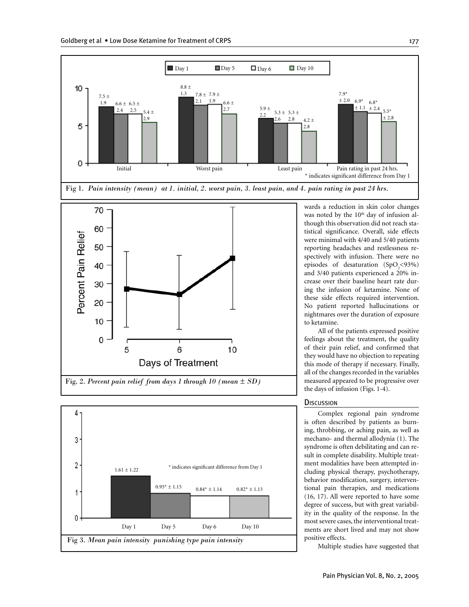

Fig. 2. *Percent pain relief from days 1 through 10 (mean ± SD)*



was noted by the 10<sup>th</sup> day of infusion although this observation did not reach statistical significance. Overall, side effects were minimal with 4/40 and 5/40 patients reporting headaches and restlessness respectively with infusion. There were no episodes of desaturation  $(SpO<sub>2</sub>< 93%)$ and 3/40 patients experienced a 20% increase over their baseline heart rate during the infusion of ketamine. None of these side effects required intervention. No patient reported hallucinations or nightmares over the duration of exposure

All of the patients expressed positive feelings about the treatment, the quality of their pain relief, and confirmed that they would have no objection to repeating this mode of therapy if necessary. Finally, all of the changes recorded in the variables measured appeared to be progressive over the days of infusion (Figs. 1-4).

# **DISCUSSION**

Complex regional pain syndrome is often described by patients as burning, throbbing, or aching pain, as well as mechano- and thermal allodynia (1). The syndrome is often debilitating and can result in complete disability. Multiple treatment modalities have been attempted including physical therapy, psychotherapy, behavior modification, surgery, interventional pain therapies, and medications (16, 17). All were reported to have some degree of success, but with great variability in the quality of the response. In the most severe cases, the interventional treatments are short lived and may not show positive effects.

Multiple studies have suggested that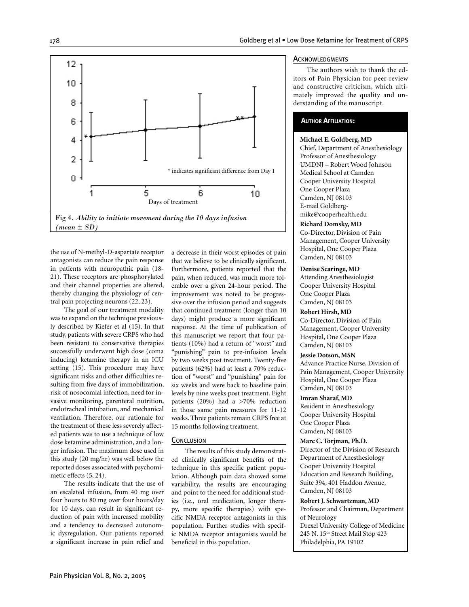

the use of N-methyl-D-aspartate receptor antagonists can reduce the pain response in patients with neuropathic pain (18- 21). These receptors are phosphorylated and their channel properties are altered, thereby changing the physiology of central pain projecting neurons (22, 23).

The goal of our treatment modality was to expand on the technique previously described by Kiefer et al (15). In that study, patients with severe CRPS who had been resistant to conservative therapies successfully underwent high dose (coma inducing) ketamine therapy in an ICU setting (15). This procedure may have significant risks and other difficulties resulting from five days of immobilization, risk of nosocomial infection, need for invasive monitoring, parenteral nutrition, endotracheal intubation, and mechanical ventilation. Therefore, our rationale for the treatment of these less severely affected patients was to use a technique of low dose ketamine administration, and a longer infusion. The maximum dose used in this study (20 mg/hr) was well below the reported doses associated with psychomimetic effects (5, 24).

The results indicate that the use of an escalated infusion, from 40 mg over four hours to 80 mg over four hours/day for 10 days, can result in significant reduction of pain with increased mobility and a tendency to decreased autonomic dysregulation. Our patients reported a significant increase in pain relief and

a decrease in their worst episodes of pain that we believe to be clinically significant. Furthermore, patients reported that the pain, when reduced, was much more tolerable over a given 24-hour period. The improvement was noted to be progressive over the infusion period and suggests that continued treatment (longer than 10 days) might produce a more significant response. At the time of publication of this manuscript we report that four patients (10%) had a return of "worst" and "punishing" pain to pre-infusion levels by two weeks post treatment. Twenty-five patients (62%) had at least a 70% reduction of "worst" and "punishing" pain for six weeks and were back to baseline pain levels by nine weeks post treatment. Eight patients (20%) had a >70% reduction in those same pain measures for 11-12 weeks. Three patients remain CRPS free at 15 months following treatment.

## **CONCLUSION**

The results of this study demonstrated clinically significant benefits of the technique in this specific patient population. Although pain data showed some variability, the results are encouraging and point to the need for additional studies (i.e., oral medication, longer therapy, more specific therapies) with specific NMDA receptor antagonists in this population. Further studies with specific NMDA receptor antagonists would be beneficial in this population.

## **ACKNOWLEDGMENTS**

The authors wish to thank the editors of Pain Physician for peer review and constructive criticism, which ultimately improved the quality and understanding of the manuscript.

# **AUTHOR AFFILIATION:**

#### **Michael E. Goldberg, MD**

Chief, Department of Anesthesiology Professor of Anesthesiology UMDNJ – Robert Wood Johnson Medical School at Camden Cooper University Hospital One Cooper Plaza Camden, NJ 08103 E-mail Goldbergmike@cooperhealth.edu

#### **Richard Domsky, MD**

Co-Director, Division of Pain Management, Cooper University Hospital, One Cooper Plaza Camden, NJ 08103

# **Denise Scaringe, MD**

Attending Anesthesiologist Cooper University Hospital One Cooper Plaza Camden, NJ 08103

# **Robert Hirsh, MD**

Co-Director, Division of Pain Management, Cooper University Hospital, One Cooper Plaza Camden, NJ 08103

# **Jessie Dotson, MSN**

Advance Practice Nurse, Division of Pain Management, Cooper University Hospital, One Cooper Plaza Camden, NJ 08103

# **Imran Sharaf, MD**

Resident in Anesthesiology Cooper University Hospital One Cooper Plaza Camden, NJ 08103

**Marc C. Torjman, Ph.D.** Director of the Division of Research Department of Anesthesiology Cooper University Hospital Education and Research Building, Suite 394, 401 Haddon Avenue, Camden, NJ 08103

#### **Robert J. Schwartzman, MD**

Professor and Chairman, Department of Neurology Drexel University College of Medicine 245 N. 15<sup>th</sup> Street Mail Stop 423 Philadelphia, PA 19102